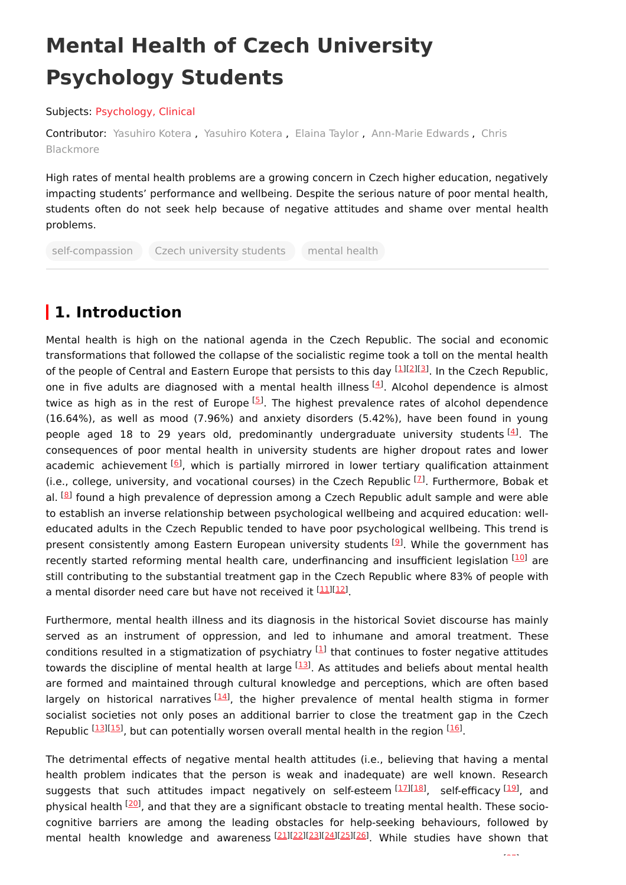# **Mental Health of Czech University Psychology Students**

Subjects: [Psychology,](https://encyclopedia.pub/entry/subject/249) Clinical

[Contributor:](https://sciprofiles.com/profile/2128201) [Yasuhiro](https://sciprofiles.com/profile/1100786) Kotera , [Yasuhiro](https://sciprofiles.com/profile/1905268) Kotera , [Elaina](https://sciprofiles.com/profile/1755366) Taylor , [Ann-Marie](https://sciprofiles.com/profile/1738505) Edwards , Chris Blackmore

High rates of mental health problems are a growing concern in Czech higher education, negatively impacting students' performance and wellbeing. Despite the serious nature of poor mental health, students often do not seek help because of negative attitudes and shame over mental health problems.

self-compassion Czech university students mental health

## **1. Introduction**

Mental health is high on the national agenda in the Czech Republic. The social and economic transformations that followed the collapse of the socialistic regime took a toll on the mental health of the people of Central and Eastern Europe that persists to this day <sup>[\[1](#page-2-0)][\[2](#page-2-1)][[3](#page-2-2)]</sup>. In the Czech Republic, one in five adults are diagnosed with a mental health illness <sup>[\[4](#page-2-3)]</sup>. Alcohol dependence is almost twice as high as in the rest of Europe <sup>[\[5](#page-2-4)]</sup>. The highest prevalence rates of alcohol dependence (16.64%), as well as mood (7.96%) and anxiety disorders (5.42%), have been found in young people aged 18 to 29 years old, predominantly undergraduate university students <sup>[\[4](#page-2-3)]</sup>. The consequences of poor mental health in university students are higher dropout rates and lower academic achievement [\[6](#page-2-5)], which is partially mirrored in lower tertiary qualification attainment (i.e., college, university, and vocational courses) in the Czech Republic  $[2]$ . Furthermore, Bobak et al. <sup>[[8](#page-2-7)]</sup> found a high prevalence of depression among a Czech Republic adult sample and were able to establish an inverse relationship between psychological wellbeing and acquired education: welleducated adults in the Czech Republic tended to have poor psychological wellbeing. This trend is present consistently among Eastern European university students <sup>[\[9](#page-2-8)]</sup>. While the government has recently started reforming mental health care, underfinancing and insufficient legislation [\[10](#page-2-9)] are still contributing to the substantial treatment gap in the Czech Republic where 83% of people with a mental disorder need care but have not received it [[11\]](#page-3-0)[[12\]](#page-3-1).

Furthermore, mental health illness and its diagnosis in the historical Soviet discourse has mainly served as an instrument of oppression, and led to inhumane and amoral treatment. These conditions resulted in a stigmatization of psychiatry  $^{[1]}$  $^{[1]}$  $^{[1]}$  that continues to foster negative attitudes towards the discipline of mental health at large [[13](#page-3-2)]. As attitudes and beliefs about mental health are formed and maintained through cultural knowledge and perceptions, which are often based largely on historical narratives [\[14](#page-3-3)], the higher prevalence of mental health stigma in former socialist societies not only poses an additional barrier to close the treatment gap in the Czech Republic <sup>[\[13](#page-3-2)][\[15](#page-3-4)]</sup>, but can potentially worsen overall mental health in the region <sup>[[16](#page-3-5)]</sup>.

The detrimental effects of negative mental health attitudes (i.e., believing that having a mental health problem indicates that the person is weak and inadequate) are well known. Research suggests that such attitudes impact negatively on self-esteem<sup>[\[17](#page-3-6)][\[18](#page-3-7)]</sup>, self-efficacy<sup>[[19](#page-3-8)]</sup>, and physical health <sup>[[20](#page-3-9)]</sup>, and that they are a significant obstacle to treating mental health. These sociocognitive barriers are among the leading obstacles for help-seeking behaviours, followed by mental health knowledge and awareness [\[21](#page-3-10)][\[22](#page-3-11)][\[23](#page-3-12)][\[24](#page-3-13)][\[25](#page-3-14)][\[26](#page-3-15)]. While studies have shown that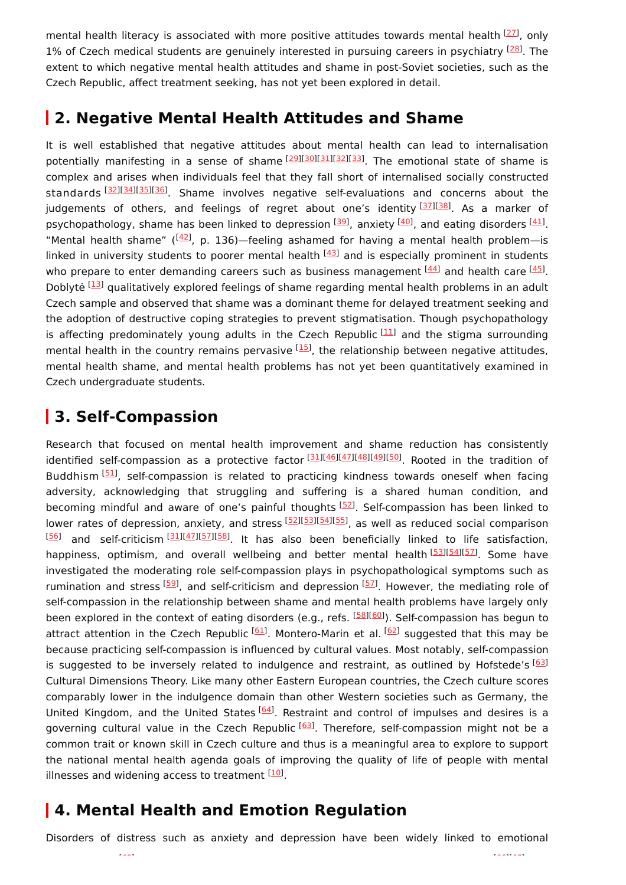mental health literacy is associated with more positive attitudes towards mental health [[27](#page-3-16)], only 1% of Czech medical students are genuinely interested in pursuing careers in psychiatry <sup>[\[28\]](#page-3-17)</sup>. The extent to which negative mental health attitudes and shame in post-Soviet societies, such as the Czech Republic, affect treatment seeking, has not yet been explored in detail.

### **2. Negative Mental Health Attitudes and Shame**

It is well established that negative attitudes about mental health can lead to internalisation potentially manifesting in a sense of shame [\[29\]](#page-3-18)[[30](#page-3-19)][\[31\]](#page-4-0)[[32](#page-4-1)][\[33\]](#page-4-2). The emotional state of shame is complex and arises when individuals feel that they fall short of internalised socially constructed standards [\[32](#page-4-1)][\[34](#page-4-3)][\[35](#page-4-4)][\[36](#page-4-5)] Shame involves negative self-evaluations and concerns about the judgements of others, and feelings of regret about one's identity [\[37](#page-4-6)][\[38](#page-4-7)]. As a marker of psychopathology, shame has been linked to depression  $[39]$  $[39]$  $[39]$ , anxiety  $[40]$  $[40]$ , and eating disorders  $[41]$  $[41]$ . "Mental health shame"  $(142)$  $(142)$  $(142)$ , p. 136)–feeling ashamed for having a mental health problem–is linked in university students to poorer mental health  $[43]$  and is especially prominent in students who prepare to enter demanding careers such as business management [\[44\]](#page-4-13) and health care [\[45](#page-4-14)]. Doblytė <sup>[\[13](#page-3-2)]</sup> qualitatively explored feelings of shame regarding mental health problems in an adult Czech sample and observed that shame was a dominant theme for delayed treatment seeking and the adoption of destructive coping strategies to prevent stigmatisation. Though psychopathology is affecting predominately young adults in the Czech Republic <sup>[\[11\]](#page-3-0)</sup> and the stigma surrounding mental health in the country remains pervasive <sup>[[15](#page-3-4)]</sup>, the relationship between negative attitudes, mental health shame, and mental health problems has not yet been quantitatively examined in Czech undergraduate students.

#### **3. Self-Compassion**

Research that focused on mental health improvement and shame reduction has consistently identified self-compassion as a protective factor [[31\]](#page-4-0)[[46\]](#page-4-15)[[47\]](#page-4-16)[[48\]](#page-4-17)[[49\]](#page-4-18)[[50\]](#page-4-19). Rooted in the tradition of Buddhism [[51\]](#page-5-0), self-compassion is related to practicing kindness towards oneself when facing adversity, acknowledging that struggling and suffering is a shared human condition, and becoming mindful and aware of one's painful thoughts [[52](#page-5-1)]. Self-compassion has been linked to lower rates of depression, anxiety, and stress [[52\]](#page-5-1)[[53\]](#page-5-2)[[54\]](#page-5-3)[[55\]](#page-5-4), as well as reduced social comparison [\[56\]](#page-5-5) and self-criticism<sup>[\[31](#page-4-0)][\[47](#page-4-16)][\[57](#page-5-6)][\[58](#page-5-7)]</sup>. It has also been beneficially linked to life satisfaction, happiness, optimism, and overall wellbeing and better mental health<sup>[[53](#page-5-2)][[54](#page-5-3)][[57](#page-5-6)]</sup>. Some have investigated the moderating role self-compassion plays in psychopathological symptoms such as rumination and stress [[59](#page-5-8)], and self-criticism and depression [\[57](#page-5-6)]. However, the mediating role of self-compassion in the relationship between shame and mental health problems have largely only been explored in the context of eating disorders (e.g., refs. <sup>[\[58](#page-5-7)][\[60](#page-5-9)]</sup>). Self-compassion has begun to attract attention in the Czech Republic <sup>[[61](#page-5-10)]</sup>. Montero-Marin et al. <sup>[[62](#page-5-11)]</sup> suggested that this may be because practicing self-compassion is influenced by cultural values. Most notably, self-compassion is suggested to be inversely related to indulgence and restraint, as outlined by Hofstede's [\[63](#page-5-12)] Cultural Dimensions Theory. Like many other Eastern European countries, the Czech culture scores comparably lower in the indulgence domain than other Western societies such as Germany, the United Kingdom, and the United States [\[64](#page-5-13)]. Restraint and control of impulses and desires is a governing cultural value in the Czech Republic <sup>[\[63](#page-5-12)]</sup>. Therefore, self-compassion might not be a common trait or known skill in Czech culture and thus is a meaningful area to explore to support the national mental health agenda goals of improving the quality of life of people with mental illnesses and widening access to treatment [\[10](#page-2-9)].

### **4. Mental Health and Emotion Regulation**

Disorders of distress such as anxiety and depression have been widely linked to emotional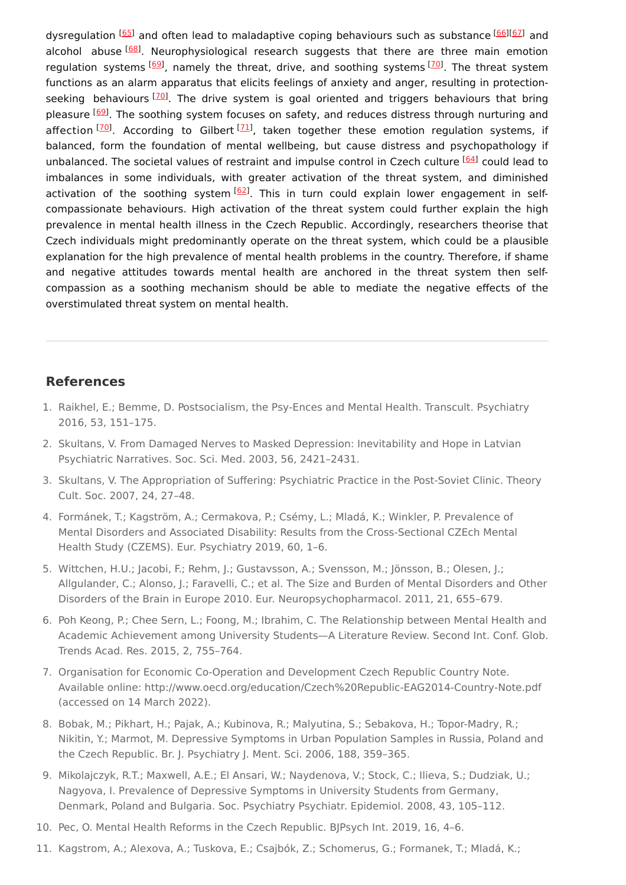dysregulation [[65](#page-5-14)] and often lead to maladaptive coping behaviours such as substance [[66](#page-5-15)][[67](#page-5-16)] and alcohol abuse<sup>[[68](#page-5-17)]</sup>. Neurophysiological research suggests that there are three main emotion regulation systems  $\frac{[69]}{2}$  $\frac{[69]}{2}$  $\frac{[69]}{2}$ , namely the threat, drive, and soothing systems  $\boxed{70}$  $\boxed{70}$  $\boxed{70}$ . The threat system functions as an alarm apparatus that elicits feelings of anxiety and anger, resulting in protection-seeking behaviours <a>[[70\]](#page-5-19)</a>. The drive system is goal oriented and triggers behaviours that bring pleasure [[69](#page-5-18)]. The soothing system focuses on safety, and reduces distress through nurturing and affection [\[70\]](#page-5-19). According to Gilbert [\[71](#page-6-0)], taken together these emotion regulation systems, if balanced, form the foundation of mental wellbeing, but cause distress and psychopathology if unbalanced. The societal values of restraint and impulse control in Czech culture [\[64\]](#page-5-13) could lead to imbalances in some individuals, with greater activation of the threat system, and diminished activation of the soothing system [\[62](#page-5-11)]. This in turn could explain lower engagement in selfcompassionate behaviours. High activation of the threat system could further explain the high prevalence in mental health illness in the Czech Republic. Accordingly, researchers theorise that Czech individuals might predominantly operate on the threat system, which could be a plausible explanation for the high prevalence of mental health problems in the country. Therefore, if shame and negative attitudes towards mental health are anchored in the threat system then selfcompassion as a soothing mechanism should be able to mediate the negative effects of the overstimulated threat system on mental health.

#### **References**

- <span id="page-2-0"></span>1. Raikhel, E.; Bemme, D. Postsocialism, the Psy-Ences and Mental Health. Transcult. Psychiatry 2016, 53, 151–175.
- <span id="page-2-1"></span>2. Skultans, V. From Damaged Nerves to Masked Depression: Inevitability and Hope in Latvian Psychiatric Narratives. Soc. Sci. Med. 2003, 56, 2421–2431.
- <span id="page-2-2"></span>3. Skultans, V. The Appropriation of Suffering: Psychiatric Practice in the Post-Soviet Clinic. Theory Cult. Soc. 2007, 24, 27–48.
- <span id="page-2-3"></span>4. Formánek, T.; Kagström, A.; Cermakova, P.; Csémy, L.; Mladá, K.; Winkler, P. Prevalence of Mental Disorders and Associated Disability: Results from the Cross-Sectional CZEch Mental Health Study (CZEMS). Eur. Psychiatry 2019, 60, 1–6.
- <span id="page-2-4"></span>5. Wittchen, H.U.; Jacobi, F.; Rehm, J.; Gustavsson, A.; Svensson, M.; Jönsson, B.; Olesen, J.; Allgulander, C.; Alonso, J.; Faravelli, C.; et al. The Size and Burden of Mental Disorders and Other Disorders of the Brain in Europe 2010. Eur. Neuropsychopharmacol. 2011, 21, 655–679.
- <span id="page-2-5"></span>6. Poh Keong, P.; Chee Sern, L.; Foong, M.; Ibrahim, C. The Relationship between Mental Health and Academic Achievement among University Students—A Literature Review. Second Int. Conf. Glob. Trends Acad. Res. 2015, 2, 755–764.
- <span id="page-2-6"></span>7. Organisation for Economic Co-Operation and Development Czech Republic Country Note. Available online: http://www.oecd.org/education/Czech%20Republic-EAG2014-Country-Note.pdf (accessed on 14 March 2022).
- <span id="page-2-7"></span>8. Bobak, M.; Pikhart, H.; Pajak, A.; Kubinova, R.; Malyutina, S.; Sebakova, H.; Topor-Madry, R.; Nikitin, Y.; Marmot, M. Depressive Symptoms in Urban Population Samples in Russia, Poland and the Czech Republic. Br. J. Psychiatry J. Ment. Sci. 2006, 188, 359–365.
- <span id="page-2-8"></span>9. Mikolajczyk, R.T.; Maxwell, A.E.; El Ansari, W.; Naydenova, V.; Stock, C.; Ilieva, S.; Dudziak, U.; Nagyova, I. Prevalence of Depressive Symptoms in University Students from Germany, Denmark, Poland and Bulgaria. Soc. Psychiatry Psychiatr. Epidemiol. 2008, 43, 105–112.
- <span id="page-2-9"></span>10. Pec, O. Mental Health Reforms in the Czech Republic. BJPsych Int. 2019, 16, 4–6.
- 11. Kagstrom, A.; Alexova, A.; Tuskova, E.; Csajbók, Z.; Schomerus, G.; Formanek, T.; Mladá, K.;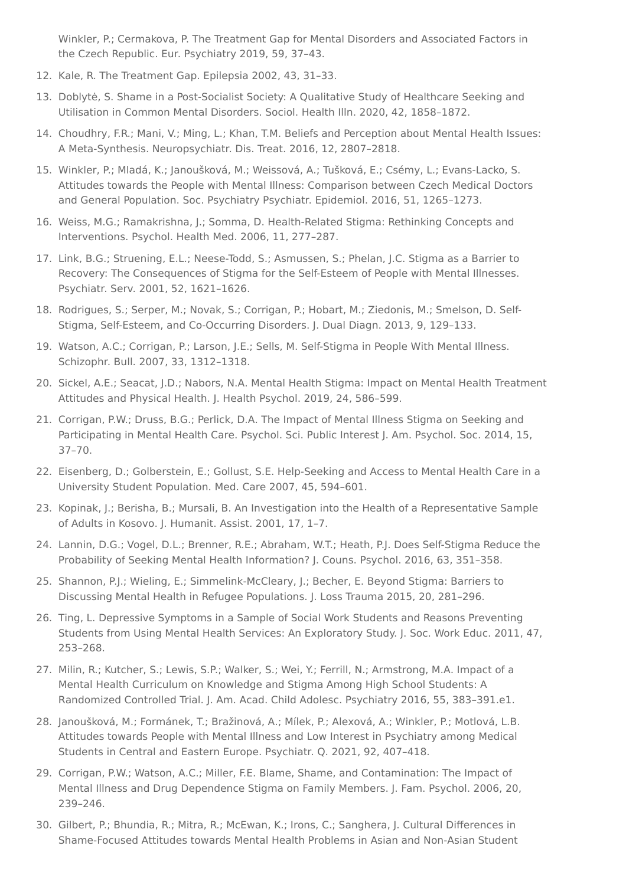<span id="page-3-0"></span>Winkler, P.; Cermakova, P. The Treatment Gap for Mental Disorders and Associated Factors in the Czech Republic. Eur. Psychiatry 2019, 59, 37–43.

- <span id="page-3-1"></span>12. Kale, R. The Treatment Gap. Epilepsia 2002, 43, 31–33.
- <span id="page-3-2"></span>13. Doblytė, S. Shame in a Post-Socialist Society: A Qualitative Study of Healthcare Seeking and Utilisation in Common Mental Disorders. Sociol. Health Illn. 2020, 42, 1858–1872.
- <span id="page-3-3"></span>14. Choudhry, F.R.; Mani, V.; Ming, L.; Khan, T.M. Beliefs and Perception about Mental Health Issues: A Meta-Synthesis. Neuropsychiatr. Dis. Treat. 2016, 12, 2807–2818.
- <span id="page-3-4"></span>15. Winkler, P.; Mladá, K.; Janoušková, M.; Weissová, A.; Tušková, E.; Csémy, L.; Evans-Lacko, S. Attitudes towards the People with Mental Illness: Comparison between Czech Medical Doctors and General Population. Soc. Psychiatry Psychiatr. Epidemiol. 2016, 51, 1265–1273.
- <span id="page-3-5"></span>16. Weiss, M.G.; Ramakrishna, J.; Somma, D. Health-Related Stigma: Rethinking Concepts and Interventions. Psychol. Health Med. 2006, 11, 277–287.
- <span id="page-3-6"></span>17. Link, B.G.; Struening, E.L.; Neese-Todd, S.; Asmussen, S.; Phelan, J.C. Stigma as a Barrier to Recovery: The Consequences of Stigma for the Self-Esteem of People with Mental Illnesses. Psychiatr. Serv. 2001, 52, 1621–1626.
- <span id="page-3-7"></span>18. Rodrigues, S.; Serper, M.; Novak, S.; Corrigan, P.; Hobart, M.; Ziedonis, M.; Smelson, D. Self-Stigma, Self-Esteem, and Co-Occurring Disorders. J. Dual Diagn. 2013, 9, 129–133.
- <span id="page-3-8"></span>19. Watson, A.C.; Corrigan, P.; Larson, J.E.; Sells, M. Self-Stigma in People With Mental Illness. Schizophr. Bull. 2007, 33, 1312–1318.
- <span id="page-3-9"></span>20. Sickel, A.E.; Seacat, J.D.; Nabors, N.A. Mental Health Stigma: Impact on Mental Health Treatment Attitudes and Physical Health. J. Health Psychol. 2019, 24, 586–599.
- <span id="page-3-10"></span>21. Corrigan, P.W.; Druss, B.G.; Perlick, D.A. The Impact of Mental Illness Stigma on Seeking and Participating in Mental Health Care. Psychol. Sci. Public Interest J. Am. Psychol. Soc. 2014, 15, 37–70.
- <span id="page-3-11"></span>22. Eisenberg, D.; Golberstein, E.; Gollust, S.E. Help-Seeking and Access to Mental Health Care in a University Student Population. Med. Care 2007, 45, 594–601.
- <span id="page-3-12"></span>23. Kopinak, J.; Berisha, B.; Mursali, B. An Investigation into the Health of a Representative Sample of Adults in Kosovo. J. Humanit. Assist. 2001, 17, 1–7.
- <span id="page-3-13"></span>24. Lannin, D.G.; Vogel, D.L.; Brenner, R.E.; Abraham, W.T.; Heath, P.J. Does Self-Stigma Reduce the Probability of Seeking Mental Health Information? J. Couns. Psychol. 2016, 63, 351–358.
- <span id="page-3-14"></span>25. Shannon, P.J.; Wieling, E.; Simmelink-McCleary, J.; Becher, E. Beyond Stigma: Barriers to Discussing Mental Health in Refugee Populations. J. Loss Trauma 2015, 20, 281–296.
- <span id="page-3-15"></span>26. Ting, L. Depressive Symptoms in a Sample of Social Work Students and Reasons Preventing Students from Using Mental Health Services: An Exploratory Study. J. Soc. Work Educ. 2011, 47, 253–268.
- <span id="page-3-16"></span>27. Milin, R.; Kutcher, S.; Lewis, S.P.; Walker, S.; Wei, Y.; Ferrill, N.; Armstrong, M.A. Impact of a Mental Health Curriculum on Knowledge and Stigma Among High School Students: A Randomized Controlled Trial. J. Am. Acad. Child Adolesc. Psychiatry 2016, 55, 383–391.e1.
- <span id="page-3-17"></span>28. Janoušková, M.; Formánek, T.; Bražinová, A.; Mílek, P.; Alexová, A.; Winkler, P.; Motlová, L.B. Attitudes towards People with Mental Illness and Low Interest in Psychiatry among Medical Students in Central and Eastern Europe. Psychiatr. Q. 2021, 92, 407–418.
- <span id="page-3-18"></span>29. Corrigan, P.W.; Watson, A.C.; Miller, F.E. Blame, Shame, and Contamination: The Impact of Mental Illness and Drug Dependence Stigma on Family Members. J. Fam. Psychol. 2006, 20, 239–246.
- <span id="page-3-19"></span>30. Gilbert, P.; Bhundia, R.; Mitra, R.; McEwan, K.; Irons, C.; Sanghera, J. Cultural Differences in Shame-Focused Attitudes towards Mental Health Problems in Asian and Non-Asian Student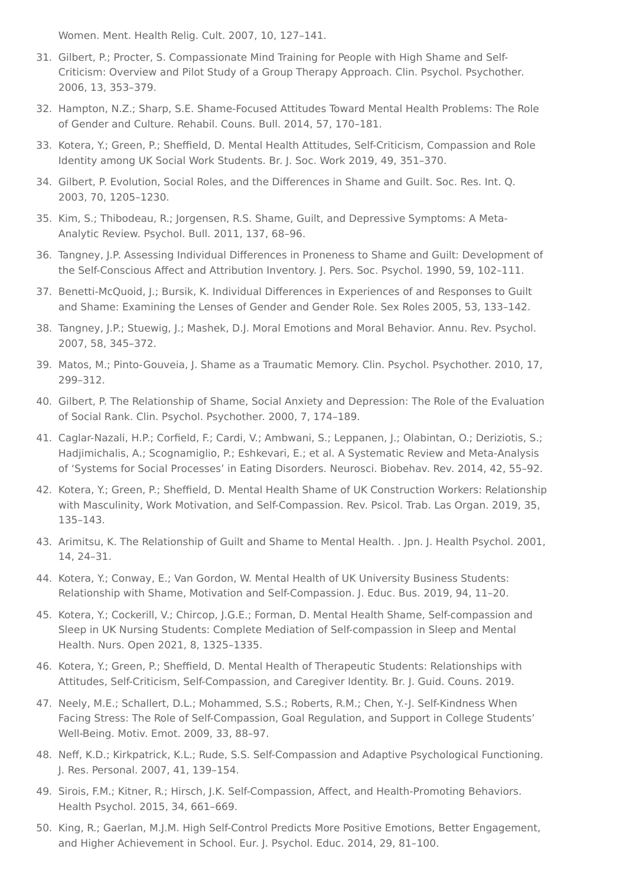<span id="page-4-0"></span>Women. Ment. Health Relig. Cult. 2007, 10, 127–141.

- 31. Gilbert, P.; Procter, S. Compassionate Mind Training for People with High Shame and Self-Criticism: Overview and Pilot Study of a Group Therapy Approach. Clin. Psychol. Psychother. 2006, 13, 353–379.
- <span id="page-4-1"></span>32. Hampton, N.Z.; Sharp, S.E. Shame-Focused Attitudes Toward Mental Health Problems: The Role of Gender and Culture. Rehabil. Couns. Bull. 2014, 57, 170–181.
- <span id="page-4-2"></span>33. Kotera, Y.; Green, P.; Sheffield, D. Mental Health Attitudes, Self-Criticism, Compassion and Role Identity among UK Social Work Students. Br. J. Soc. Work 2019, 49, 351–370.
- <span id="page-4-3"></span>34. Gilbert, P. Evolution, Social Roles, and the Differences in Shame and Guilt. Soc. Res. Int. Q. 2003, 70, 1205–1230.
- <span id="page-4-4"></span>35. Kim, S.; Thibodeau, R.; Jorgensen, R.S. Shame, Guilt, and Depressive Symptoms: A Meta-Analytic Review. Psychol. Bull. 2011, 137, 68–96.
- <span id="page-4-5"></span>36. Tangney, J.P. Assessing Individual Differences in Proneness to Shame and Guilt: Development of the Self-Conscious Affect and Attribution Inventory. J. Pers. Soc. Psychol. 1990, 59, 102–111.
- <span id="page-4-6"></span>37. Benetti-McQuoid, J.; Bursik, K. Individual Differences in Experiences of and Responses to Guilt and Shame: Examining the Lenses of Gender and Gender Role. Sex Roles 2005, 53, 133–142.
- <span id="page-4-7"></span>38. Tangney, J.P.; Stuewig, J.; Mashek, D.J. Moral Emotions and Moral Behavior. Annu. Rev. Psychol. 2007, 58, 345–372.
- <span id="page-4-8"></span>39. Matos, M.; Pinto-Gouveia, J. Shame as a Traumatic Memory. Clin. Psychol. Psychother. 2010, 17, 299–312.
- <span id="page-4-9"></span>40. Gilbert, P. The Relationship of Shame, Social Anxiety and Depression: The Role of the Evaluation of Social Rank. Clin. Psychol. Psychother. 2000, 7, 174–189.
- <span id="page-4-10"></span>41. Caglar-Nazali, H.P.; Corfield, F.; Cardi, V.; Ambwani, S.; Leppanen, J.; Olabintan, O.; Deriziotis, S.; Hadjimichalis, A.; Scognamiglio, P.; Eshkevari, E.; et al. A Systematic Review and Meta-Analysis of 'Systems for Social Processes' in Eating Disorders. Neurosci. Biobehav. Rev. 2014, 42, 55–92.
- <span id="page-4-11"></span>42. Kotera, Y.; Green, P.; Sheffield, D. Mental Health Shame of UK Construction Workers: Relationship with Masculinity, Work Motivation, and Self-Compassion. Rev. Psicol. Trab. Las Organ. 2019, 35, 135–143.
- <span id="page-4-12"></span>43. Arimitsu, K. The Relationship of Guilt and Shame to Mental Health. . Jpn. J. Health Psychol. 2001, 14, 24–31.
- <span id="page-4-13"></span>44. Kotera, Y.; Conway, E.; Van Gordon, W. Mental Health of UK University Business Students: Relationship with Shame, Motivation and Self-Compassion. J. Educ. Bus. 2019, 94, 11–20.
- <span id="page-4-14"></span>45. Kotera, Y.; Cockerill, V.; Chircop, J.G.E.; Forman, D. Mental Health Shame, Self-compassion and Sleep in UK Nursing Students: Complete Mediation of Self-compassion in Sleep and Mental Health. Nurs. Open 2021, 8, 1325–1335.
- <span id="page-4-15"></span>46. Kotera, Y.; Green, P.; Sheffield, D. Mental Health of Therapeutic Students: Relationships with Attitudes, Self-Criticism, Self-Compassion, and Caregiver Identity. Br. J. Guid. Couns. 2019.
- <span id="page-4-16"></span>47. Neely, M.E.; Schallert, D.L.; Mohammed, S.S.; Roberts, R.M.; Chen, Y.-J. Self-Kindness When Facing Stress: The Role of Self-Compassion, Goal Regulation, and Support in College Students' Well-Being. Motiv. Emot. 2009, 33, 88–97.
- <span id="page-4-17"></span>48. Neff, K.D.; Kirkpatrick, K.L.; Rude, S.S. Self-Compassion and Adaptive Psychological Functioning. J. Res. Personal. 2007, 41, 139–154.
- <span id="page-4-18"></span>49. Sirois, F.M.; Kitner, R.; Hirsch, J.K. Self-Compassion, Affect, and Health-Promoting Behaviors. Health Psychol. 2015, 34, 661–669.
- <span id="page-4-19"></span>50. King, R.; Gaerlan, M.J.M. High Self-Control Predicts More Positive Emotions, Better Engagement, and Higher Achievement in School. Eur. J. Psychol. Educ. 2014, 29, 81–100.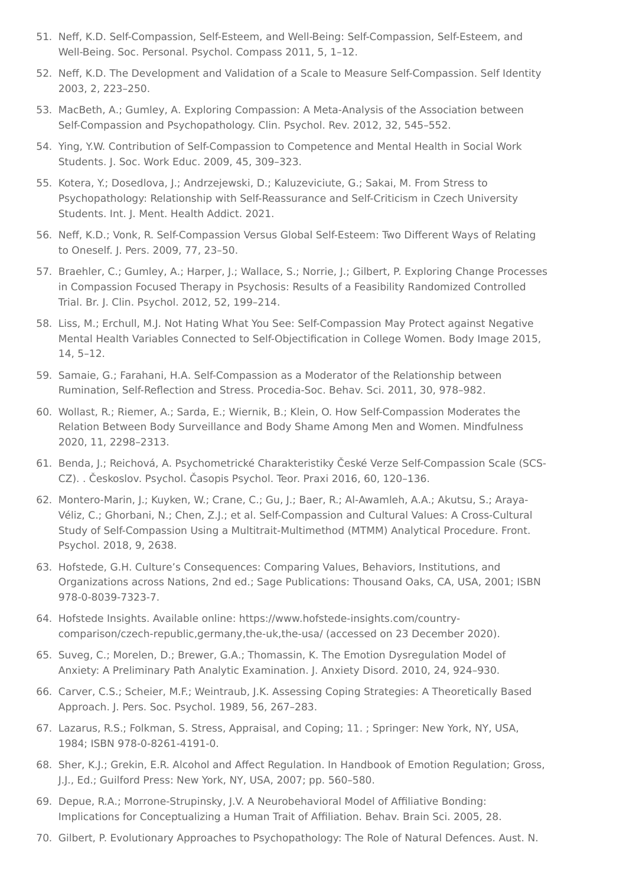- <span id="page-5-0"></span>51. Neff, K.D. Self-Compassion, Self-Esteem, and Well-Being: Self-Compassion, Self-Esteem, and Well-Being. Soc. Personal. Psychol. Compass 2011, 5, 1–12.
- <span id="page-5-1"></span>52. Neff, K.D. The Development and Validation of a Scale to Measure Self-Compassion. Self Identity 2003, 2, 223–250.
- <span id="page-5-2"></span>53. MacBeth, A.; Gumley, A. Exploring Compassion: A Meta-Analysis of the Association between Self-Compassion and Psychopathology. Clin. Psychol. Rev. 2012, 32, 545–552.
- <span id="page-5-3"></span>54. Ying, Y.W. Contribution of Self-Compassion to Competence and Mental Health in Social Work Students. J. Soc. Work Educ. 2009, 45, 309–323.
- <span id="page-5-4"></span>55. Kotera, Y.; Dosedlova, J.; Andrzejewski, D.; Kaluzeviciute, G.; Sakai, M. From Stress to Psychopathology: Relationship with Self-Reassurance and Self-Criticism in Czech University Students. Int. J. Ment. Health Addict. 2021.
- <span id="page-5-5"></span>56. Neff, K.D.; Vonk, R. Self-Compassion Versus Global Self-Esteem: Two Different Ways of Relating to Oneself. J. Pers. 2009, 77, 23–50.
- <span id="page-5-6"></span>57. Braehler, C.; Gumley, A.; Harper, J.; Wallace, S.; Norrie, J.; Gilbert, P. Exploring Change Processes in Compassion Focused Therapy in Psychosis: Results of a Feasibility Randomized Controlled Trial. Br. J. Clin. Psychol. 2012, 52, 199–214.
- <span id="page-5-7"></span>58. Liss, M.; Erchull, M.J. Not Hating What You See: Self-Compassion May Protect against Negative Mental Health Variables Connected to Self-Objectification in College Women. Body Image 2015, 14, 5–12.
- <span id="page-5-8"></span>59. Samaie, G.; Farahani, H.A. Self-Compassion as a Moderator of the Relationship between Rumination, Self-Reflection and Stress. Procedia-Soc. Behav. Sci. 2011, 30, 978–982.
- <span id="page-5-9"></span>60. Wollast, R.; Riemer, A.; Sarda, E.; Wiernik, B.; Klein, O. How Self-Compassion Moderates the Relation Between Body Surveillance and Body Shame Among Men and Women. Mindfulness 2020, 11, 2298–2313.
- <span id="page-5-10"></span>61. Benda, J.; Reichová, A. Psychometrické Charakteristiky České Verze Self-Compassion Scale (SCS-CZ). . Českoslov. Psychol. Časopis Psychol. Teor. Praxi 2016, 60, 120–136.
- <span id="page-5-11"></span>62. Montero-Marin, J.; Kuyken, W.; Crane, C.; Gu, J.; Baer, R.; Al-Awamleh, A.A.; Akutsu, S.; Araya-Véliz, C.; Ghorbani, N.; Chen, Z.J.; et al. Self-Compassion and Cultural Values: A Cross-Cultural Study of Self-Compassion Using a Multitrait-Multimethod (MTMM) Analytical Procedure. Front. Psychol. 2018, 9, 2638.
- <span id="page-5-12"></span>63. Hofstede, G.H. Culture's Consequences: Comparing Values, Behaviors, Institutions, and Organizations across Nations, 2nd ed.; Sage Publications: Thousand Oaks, CA, USA, 2001; ISBN 978-0-8039-7323-7.
- <span id="page-5-13"></span>64. Hofstede Insights. Available online: https://www.hofstede-insights.com/countrycomparison/czech-republic,germany,the-uk,the-usa/ (accessed on 23 December 2020).
- <span id="page-5-14"></span>65. Suveg, C.; Morelen, D.; Brewer, G.A.; Thomassin, K. The Emotion Dysregulation Model of Anxiety: A Preliminary Path Analytic Examination. J. Anxiety Disord. 2010, 24, 924–930.
- <span id="page-5-15"></span>66. Carver, C.S.; Scheier, M.F.; Weintraub, J.K. Assessing Coping Strategies: A Theoretically Based Approach. J. Pers. Soc. Psychol. 1989, 56, 267–283.
- <span id="page-5-16"></span>67. Lazarus, R.S.; Folkman, S. Stress, Appraisal, and Coping; 11. ; Springer: New York, NY, USA, 1984; ISBN 978-0-8261-4191-0.
- <span id="page-5-17"></span>68. Sher, K.J.; Grekin, E.R. Alcohol and Affect Regulation. In Handbook of Emotion Regulation; Gross, J.J., Ed.; Guilford Press: New York, NY, USA, 2007; pp. 560–580.
- <span id="page-5-18"></span>69. Depue, R.A.; Morrone-Strupinsky, J.V. A Neurobehavioral Model of Affiliative Bonding: Implications for Conceptualizing a Human Trait of Affiliation. Behav. Brain Sci. 2005, 28.
- <span id="page-5-19"></span>70. Gilbert, P. Evolutionary Approaches to Psychopathology: The Role of Natural Defences. Aust. N.